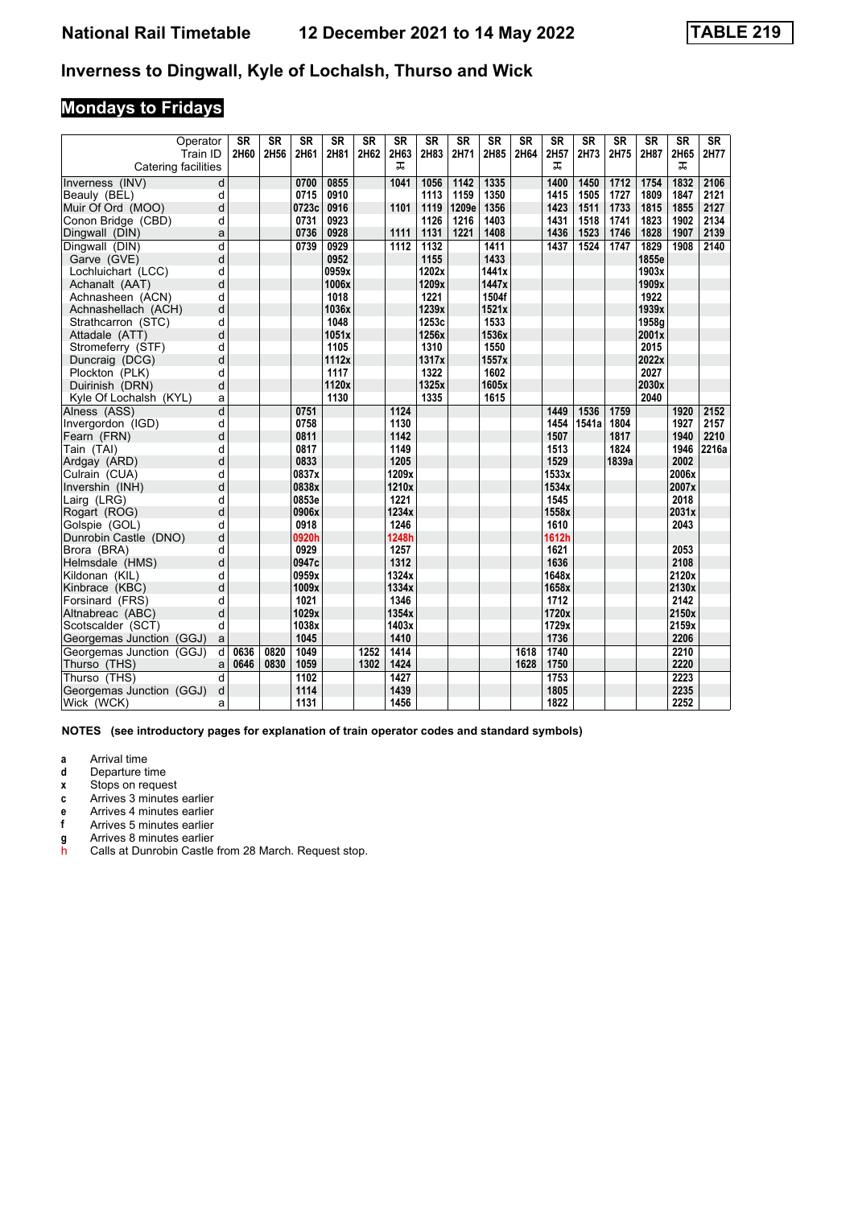#### Inverness to Dingwall, Kyle of Lochalsh, Thurso and Wick

# **Mondays to Fridays**

| Operator<br>Train ID     |                         | SR<br>2H60 | <b>SR</b><br>2H56 | <b>SR</b><br>2H61 | <b>SR</b><br>2H81 | <b>SR</b><br>2H62 | <b>SR</b><br>2H63 | <b>SR</b><br>2H83 | <b>SR</b><br>2H71 | <b>SR</b><br>2H85 | <b>SR</b><br>2H64 | SR<br>2H57 | <b>SR</b><br>2H73 | <b>SR</b><br>2H75 | <b>SR</b><br>2H87 | <b>SR</b><br>2H65 | <b>SR</b><br>2H77 |
|--------------------------|-------------------------|------------|-------------------|-------------------|-------------------|-------------------|-------------------|-------------------|-------------------|-------------------|-------------------|------------|-------------------|-------------------|-------------------|-------------------|-------------------|
| Catering facilities      |                         |            |                   |                   |                   |                   | ᠼ                 |                   |                   |                   |                   | ᠼ          |                   |                   |                   | ᠼ                 |                   |
| Inverness (INV)          | d                       |            |                   | 0700              | 0855              |                   | 1041              | 1056              | $\frac{1142}{2}$  | 1335              |                   | 1400       | 1450              | 1712              | 1754              | 1832              | 2106              |
| Beauly (BEL)             | d                       |            |                   | 0715              | 0910              |                   |                   | 1113              | 1159              | 1350              |                   | 1415       | 1505              | 1727              | 1809              | 1847              | 2121              |
| Muir Of Ord (MOO)        | d                       |            |                   | 0723c             | 0916              |                   | 1101              | 1119              | 1209e             | 1356              |                   | 1423       | 1511              | 1733              | 1815              | 1855              | 2127              |
| Conon Bridge (CBD)       | d                       |            |                   | 0731              | 0923              |                   |                   | 1126              | 1216              | 1403              |                   | 1431       | 1518              | 1741              | 1823              | 1902              | 2134              |
| Dingwall (DIN)           | a                       |            |                   | 0736              | 0928              |                   | 1111              | 1131              | 1221              | 1408              |                   | 1436       | 1523              | 1746              | 1828              | 1907              | 2139              |
| Dingwall (DIN)           | $\overline{\mathsf{d}}$ |            |                   | 0739              | 0929              |                   | 1112              | 1132              |                   | 1411              |                   | 1437       | 1524              | 1747              | 1829              | 1908              | 2140              |
| Garve (GVE)              | d                       |            |                   |                   | 0952              |                   |                   | 1155              |                   | 1433              |                   |            |                   |                   | 1855e             |                   |                   |
| Lochluichart (LCC)       | d                       |            |                   |                   | 0959x             |                   |                   | 1202x             |                   | 1441x             |                   |            |                   |                   | 1903x             |                   |                   |
| Achanalt (AAT)           | d                       |            |                   |                   | 1006x             |                   |                   | 1209x             |                   | 1447x             |                   |            |                   |                   | 1909x             |                   |                   |
| Achnasheen (ACN)         | d                       |            |                   |                   | 1018              |                   |                   | 1221              |                   | 1504f             |                   |            |                   |                   | 1922              |                   |                   |
| Achnashellach (ACH)      | d                       |            |                   |                   | 1036x             |                   |                   | 1239x             |                   | 1521x             |                   |            |                   |                   | 1939x             |                   |                   |
| Strathcarron (STC)       | d                       |            |                   |                   | 1048              |                   |                   | 1253c             |                   | 1533              |                   |            |                   |                   | 1958a             |                   |                   |
| Attadale (ATT)           | d                       |            |                   |                   | 1051x             |                   |                   | 1256x             |                   | 1536x             |                   |            |                   |                   | 2001x             |                   |                   |
| Stromeferry (STF)        | d                       |            |                   |                   | 1105              |                   |                   | 1310              |                   | 1550              |                   |            |                   |                   | 2015              |                   |                   |
| Duncraig (DCG)           | d                       |            |                   |                   | 1112x             |                   |                   | 1317x             |                   | 1557x             |                   |            |                   |                   | 2022x             |                   |                   |
| Plockton (PLK)           | d                       |            |                   |                   | 1117              |                   |                   | 1322              |                   | 1602              |                   |            |                   |                   | 2027              |                   |                   |
| Duirinish (DRN)          | d                       |            |                   |                   | 1120x             |                   |                   | 1325x             |                   | 1605x             |                   |            |                   |                   | 2030x             |                   |                   |
| Kyle Of Lochalsh (KYL)   | a                       |            |                   |                   | 1130              |                   |                   | 1335              |                   | 1615              |                   |            |                   |                   | 2040              |                   |                   |
| Alness (ASS)             | d                       |            |                   | 0751              |                   |                   | 1124              |                   |                   |                   |                   | 1449       | 1536              | 1759              |                   | 1920              | 2152              |
| Invergordon (IGD)        | d                       |            |                   | 0758              |                   |                   | 1130              |                   |                   |                   |                   | 1454       | 1541a             | 1804              |                   | 1927              | 2157              |
| Fearn (FRN)              | d                       |            |                   | 0811              |                   |                   | 1142              |                   |                   |                   |                   | 1507       |                   | 1817              |                   | 1940              | 2210              |
| Tain (TAI)               | d                       |            |                   | 0817              |                   |                   | 1149              |                   |                   |                   |                   | 1513       |                   | 1824              |                   | 1946              | 2216a             |
| Ardgay (ARD)             | d                       |            |                   | 0833              |                   |                   | 1205              |                   |                   |                   |                   | 1529       |                   | 1839a             |                   | 2002              |                   |
| Culrain (CUA)            | d                       |            |                   | 0837x             |                   |                   | 1209x             |                   |                   |                   |                   | 1533x      |                   |                   |                   | 2006x             |                   |
| Invershin (INH)          | d                       |            |                   | 0838x             |                   |                   | 1210x             |                   |                   |                   |                   | 1534x      |                   |                   |                   | 2007x             |                   |
| Lairg (LRG)              | d                       |            |                   | 0853e             |                   |                   | 1221              |                   |                   |                   |                   | 1545       |                   |                   |                   | 2018              |                   |
| Rogart (ROG)             | d                       |            |                   | 0906x             |                   |                   | 1234x             |                   |                   |                   |                   | 1558x      |                   |                   |                   | 2031x             |                   |
| Golspie (GOL)            | d                       |            |                   | 0918              |                   |                   | 1246              |                   |                   |                   |                   | 1610       |                   |                   |                   | 2043              |                   |
| Dunrobin Castle (DNO)    | d                       |            |                   | 0920h             |                   |                   | 1248h             |                   |                   |                   |                   | 1612h      |                   |                   |                   |                   |                   |
| Brora (BRA)              | d                       |            |                   | 0929              |                   |                   | 1257              |                   |                   |                   |                   | 1621       |                   |                   |                   | 2053              |                   |
| Helmsdale (HMS)          | d                       |            |                   | 0947c             |                   |                   | 1312              |                   |                   |                   |                   | 1636       |                   |                   |                   | 2108              |                   |
| Kildonan (KIL)           | d                       |            |                   | 0959x             |                   |                   | 1324x             |                   |                   |                   |                   | 1648x      |                   |                   |                   | 2120x             |                   |
| Kinbrace (KBC)           | d                       |            |                   | 1009x             |                   |                   | 1334x             |                   |                   |                   |                   | 1658x      |                   |                   |                   | 2130x             |                   |
| Forsinard (FRS)          | d                       |            |                   | 1021              |                   |                   | 1346              |                   |                   |                   |                   | 1712       |                   |                   |                   | 2142              |                   |
| Altnabreac (ABC)         | d                       |            |                   | 1029x             |                   |                   | 1354x             |                   |                   |                   |                   | 1720x      |                   |                   |                   | 2150x             |                   |
| Scotscalder (SCT)        | d                       |            |                   | 1038x             |                   |                   | 1403x             |                   |                   |                   |                   | 1729x      |                   |                   |                   | 2159x             |                   |
| Georgemas Junction (GGJ) | a                       |            |                   | 1045              |                   |                   | 1410              |                   |                   |                   |                   | 1736       |                   |                   |                   | 2206              |                   |
| Georgemas Junction (GGJ) | d                       | 0636       | 0820              | 1049              |                   | 1252              | 1414              |                   |                   |                   | 1618              | 1740       |                   |                   |                   | 2210              |                   |
| Thurso (THS)             | a                       | 0646       | 0830              | 1059              |                   | 1302              | 1424              |                   |                   |                   | 1628              | 1750       |                   |                   |                   | 2220              |                   |
| Thurso (THS)             | d                       |            |                   | 1102              |                   |                   | 1427              |                   |                   |                   |                   | 1753       |                   |                   |                   | 2223              |                   |
| Georgemas Junction (GGJ) | d                       |            |                   | 1114              |                   |                   | 1439              |                   |                   |                   |                   | 1805       |                   |                   |                   | 2235              |                   |
| Wick (WCK)               | a                       |            |                   | 1131              |                   |                   | 1456              |                   |                   |                   |                   | 1822       |                   |                   |                   | 2252              |                   |

**NOTES (see introductory pages for explanation of train operator codes and standard symbols)**

**a** Arrival time<br>**d** Departure ti

**d** Departure time

**x** Stops on request

**c** Arrives 3 minutes earlier<br>**e** Arrives 4 minutes earlier

- **e** Arrives 4 minutes earlier<br>**f** Arrives 5 minutes earlier
- **I** Arrives 5 minutes earlier
- **g** Arrives 8 minutes earlier
- h Calls at Dunrobin Castle from 28 March. Request stop.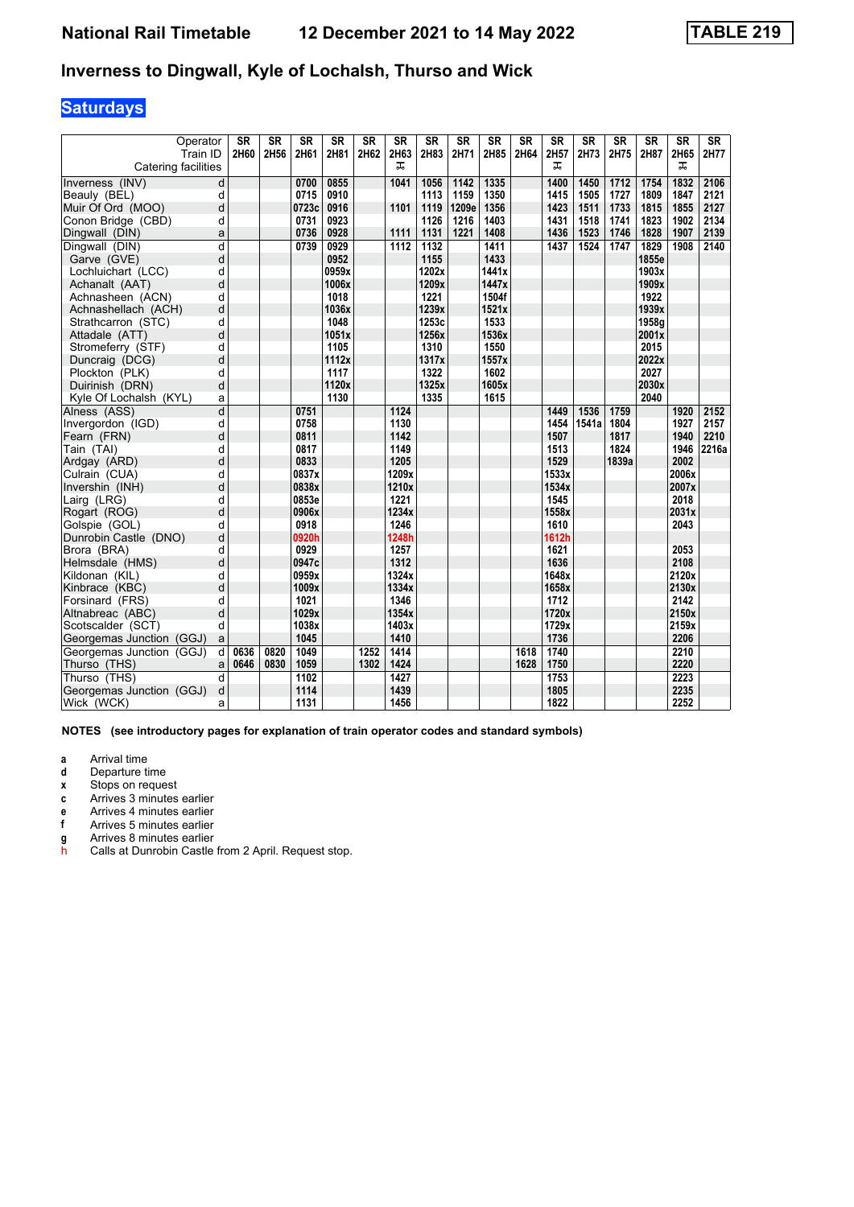### Inverness to Dingwall, Kyle of Lochalsh, Thurso and Wick

# **Saturdays**

|                          | Operator<br>Train ID    | <b>SR</b><br>2H60 | <b>SR</b><br>2H56 | SR<br>2H61 | <b>SR</b><br>2H81 | <b>SR</b><br>2H62 | <b>SR</b><br>2H63 | <b>SR</b><br>2H83 | <b>SR</b><br>2H71 | <b>SR</b><br>2H85 | <b>SR</b><br>2H64 | SR<br>2H57 | <b>SR</b><br>2H73 | <b>SR</b><br>2H75 | <b>SR</b><br>2H87 | <b>SR</b><br>2H65 | <b>SR</b><br>2H77 |
|--------------------------|-------------------------|-------------------|-------------------|------------|-------------------|-------------------|-------------------|-------------------|-------------------|-------------------|-------------------|------------|-------------------|-------------------|-------------------|-------------------|-------------------|
| Catering facilities      |                         |                   |                   |            |                   |                   | ᠼ                 |                   |                   |                   |                   | ᠼ          |                   |                   |                   | ᠼ                 |                   |
| Inverness (INV)          | d                       |                   |                   | 0700       | 0855              |                   | 1041              | 1056              | 1142              | 1335              |                   | 1400       | 1450              | 1712              | 1754              | 1832              | 2106              |
| Beauly (BEL)             | d                       |                   |                   | 0715       | 0910              |                   |                   | 1113              | 1159              | 1350              |                   | 1415       | 1505              | 1727              | 1809              | 1847              | 2121              |
| Muir Of Ord (MOO)        | d                       |                   |                   | 0723c      | 0916              |                   | 1101              | 1119              | 1209e             | 1356              |                   | 1423       | 1511              | 1733              | 1815              | 1855              | 2127              |
| Conon Bridge (CBD)       | d                       |                   |                   | 0731       | 0923              |                   |                   | 1126              | 1216              | 1403              |                   | 1431       | 1518              | 1741              | 1823              | 1902              | 2134              |
| Dingwall (DIN)           | a                       |                   |                   | 0736       | 0928              |                   | 1111              | 1131              | 1221              | 1408              |                   | 1436       | 1523              | 1746              | 1828              | 1907              | 2139              |
| Dingwall (DIN)           | $\overline{\mathsf{d}}$ |                   |                   | 0739       | 0929              |                   | 1112              | 1132              |                   | 1411              |                   | 1437       | 1524              | 1747              | 1829              | 1908              | 2140              |
| Garve (GVE)              | d                       |                   |                   |            | 0952              |                   |                   | 1155              |                   | 1433              |                   |            |                   |                   | 1855e             |                   |                   |
| Lochluichart (LCC)       | d                       |                   |                   |            | 0959x             |                   |                   | 1202x             |                   | 1441x             |                   |            |                   |                   | 1903x             |                   |                   |
| Achanalt (AAT)           | d                       |                   |                   |            | 1006x             |                   |                   | 1209x             |                   | 1447x             |                   |            |                   |                   | 1909x             |                   |                   |
| Achnasheen (ACN)         | d                       |                   |                   |            | 1018              |                   |                   | 1221              |                   | 1504f             |                   |            |                   |                   | 1922              |                   |                   |
| Achnashellach (ACH)      | d                       |                   |                   |            | 1036x             |                   |                   | 1239x             |                   | 1521x             |                   |            |                   |                   | 1939x             |                   |                   |
| Strathcarron (STC)       | d                       |                   |                   |            | 1048              |                   |                   | 1253c             |                   | 1533              |                   |            |                   |                   | 1958a             |                   |                   |
| Attadale (ATT)           | d                       |                   |                   |            | 1051x             |                   |                   | 1256x             |                   | 1536x             |                   |            |                   |                   | 2001x             |                   |                   |
| Stromeferry (STF)        | d                       |                   |                   |            | 1105              |                   |                   | 1310              |                   | 1550              |                   |            |                   |                   | 2015              |                   |                   |
| Duncraig (DCG)           | d                       |                   |                   |            | 1112x             |                   |                   | 1317x             |                   | 1557x             |                   |            |                   |                   | 2022x             |                   |                   |
| Plockton (PLK)           | d                       |                   |                   |            | 1117              |                   |                   | 1322              |                   | 1602              |                   |            |                   |                   | 2027              |                   |                   |
| Duirinish (DRN)          | d                       |                   |                   |            | 1120x             |                   |                   | 1325x             |                   | 1605x             |                   |            |                   |                   | 2030x             |                   |                   |
| Kyle Of Lochalsh (KYL)   | a                       |                   |                   |            | 1130              |                   |                   | 1335              |                   | 1615              |                   |            |                   |                   | 2040              |                   |                   |
| Alness (ASS)             | d                       |                   |                   | 0751       |                   |                   | 1124              |                   |                   |                   |                   | 1449       | 1536              | 1759              |                   | 1920              | 2152              |
| Invergordon (IGD)        | d                       |                   |                   | 0758       |                   |                   | 1130              |                   |                   |                   |                   | 1454       | 1541a             | 1804              |                   | 1927              | 2157              |
| Fearn (FRN)              | d                       |                   |                   | 0811       |                   |                   | 1142              |                   |                   |                   |                   | 1507       |                   | 1817              |                   | 1940              | 2210              |
| Tain (TAI)               | d                       |                   |                   | 0817       |                   |                   | 1149              |                   |                   |                   |                   | 1513       |                   | 1824              |                   | 1946              | 2216a             |
| Ardgay (ARD)             | d                       |                   |                   | 0833       |                   |                   | 1205              |                   |                   |                   |                   | 1529       |                   | 1839a             |                   | 2002              |                   |
| Culrain (CUA)            | d                       |                   |                   | 0837x      |                   |                   | 1209x             |                   |                   |                   |                   | 1533x      |                   |                   |                   | 2006x             |                   |
| Invershin (INH)          | d                       |                   |                   | 0838x      |                   |                   | 1210x             |                   |                   |                   |                   | 1534x      |                   |                   |                   | 2007x             |                   |
| Lairg (LRG)              | d                       |                   |                   | 0853e      |                   |                   | 1221              |                   |                   |                   |                   | 1545       |                   |                   |                   | 2018              |                   |
| Rogart (ROG)             | d                       |                   |                   | 0906x      |                   |                   | 1234x             |                   |                   |                   |                   | 1558x      |                   |                   |                   | 2031x             |                   |
| Golspie (GOL)            | d                       |                   |                   | 0918       |                   |                   | 1246              |                   |                   |                   |                   | 1610       |                   |                   |                   | 2043              |                   |
| Dunrobin Castle (DNO)    | d                       |                   |                   | 0920h      |                   |                   | 1248h             |                   |                   |                   |                   | 1612h      |                   |                   |                   |                   |                   |
| Brora (BRA)              | d                       |                   |                   | 0929       |                   |                   | 1257              |                   |                   |                   |                   | 1621       |                   |                   |                   | 2053              |                   |
| Helmsdale (HMS)          | d                       |                   |                   | 0947c      |                   |                   | 1312              |                   |                   |                   |                   | 1636       |                   |                   |                   | 2108              |                   |
| Kildonan (KIL)           | d                       |                   |                   | 0959x      |                   |                   | 1324x             |                   |                   |                   |                   | 1648x      |                   |                   |                   | 2120x             |                   |
| Kinbrace (KBC)           | d                       |                   |                   | 1009x      |                   |                   | 1334x             |                   |                   |                   |                   | 1658x      |                   |                   |                   | 2130x             |                   |
| Forsinard (FRS)          | d                       |                   |                   | 1021       |                   |                   | 1346              |                   |                   |                   |                   | 1712       |                   |                   |                   | 2142              |                   |
| Altnabreac (ABC)         | d                       |                   |                   | 1029x      |                   |                   | 1354x             |                   |                   |                   |                   | 1720x      |                   |                   |                   | 2150x             |                   |
| Scotscalder (SCT)        | d                       |                   |                   | 1038x      |                   |                   | 1403x             |                   |                   |                   |                   | 1729x      |                   |                   |                   | 2159x             |                   |
| Georgemas Junction (GGJ) | a                       |                   |                   | 1045       |                   |                   | 1410              |                   |                   |                   |                   | 1736       |                   |                   |                   | 2206              |                   |
| Georgemas Junction (GGJ) | d                       | 0636              | 0820              | 1049       |                   | 1252              | 1414              |                   |                   |                   | 1618              | 1740       |                   |                   |                   | 2210              |                   |
| Thurso (THS)             | a                       | 0646              | 0830              | 1059       |                   | 1302              | 1424              |                   |                   |                   | 1628              | 1750       |                   |                   |                   | 2220              |                   |
| Thurso (THS)             | d                       |                   |                   | 1102       |                   |                   | 1427              |                   |                   |                   |                   | 1753       |                   |                   |                   | 2223              |                   |
| Georgemas Junction (GGJ) | d                       |                   |                   | 1114       |                   |                   | 1439              |                   |                   |                   |                   | 1805       |                   |                   |                   | 2235              |                   |
| Wick (WCK)               | a                       |                   |                   | 1131       |                   |                   | 1456              |                   |                   |                   |                   | 1822       |                   |                   |                   | 2252              |                   |

**NOTES (see introductory pages for explanation of train operator codes and standard symbols)**

**a** Arrival time<br>**d** Departure ti

**d** Departure time

- **x** Stops on request
- **c** Arrives 3 minutes earlier<br>**e** Arrives 4 minutes earlier
- **e** Arrives 4 minutes earlier<br>**f** Arrives 5 minutes earlier
- **I** Arrives 5 minutes earlier
- **g** Arrives 8 minutes earlier
- h Calls at Dunrobin Castle from 2 April. Request stop.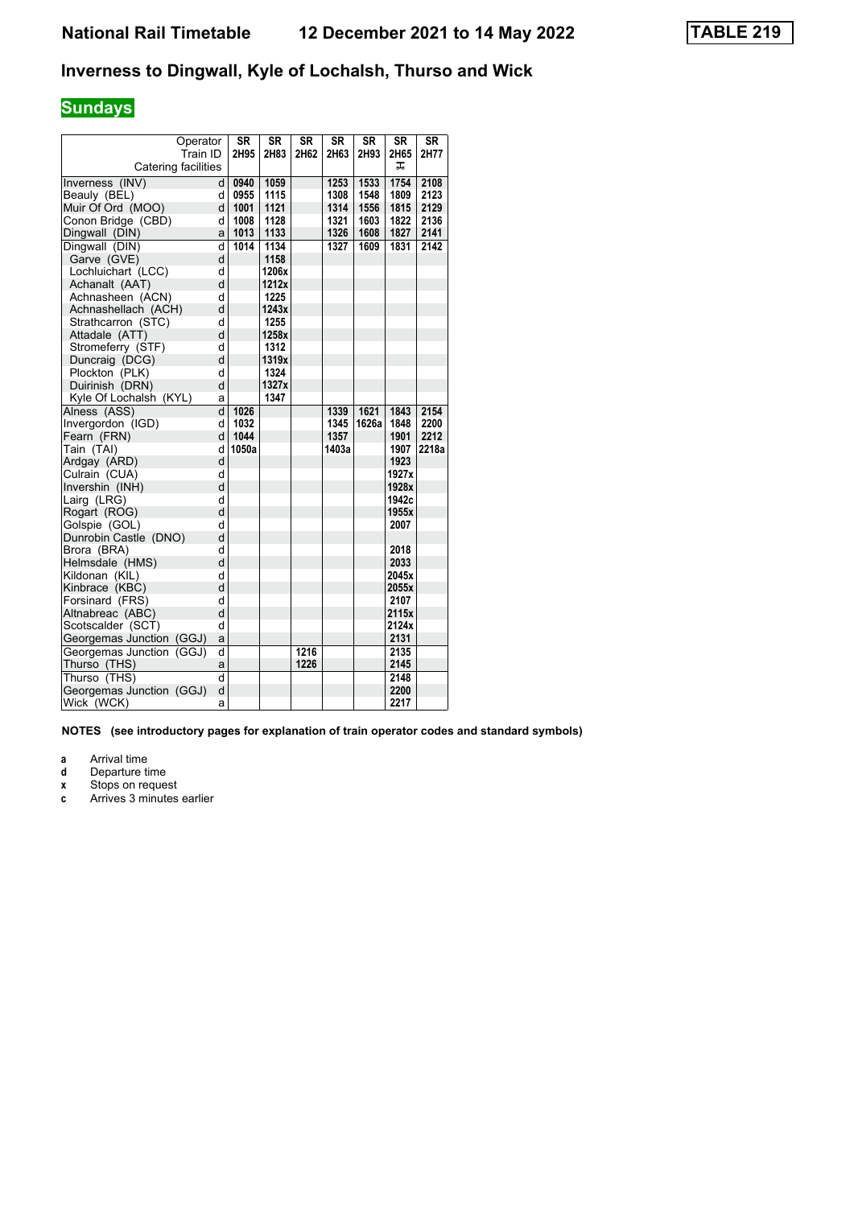#### Inverness to Dingwall, Kyle of Lochalsh, Thurso and Wick

### **Sundays**

| Operator                 |                         | <b>SR</b> | <b>SR</b> | <b>SR</b> | <b>SR</b> | <b>SR</b> | <b>SR</b> | <b>SR</b> |
|--------------------------|-------------------------|-----------|-----------|-----------|-----------|-----------|-----------|-----------|
| Train ID                 |                         | 2H95      | 2H83      | 2H62      | 2H63      | 2H93      | 2H65      | 2H77      |
| Catering facilities      |                         |           |           |           |           |           | ᠼ         |           |
| Inverness (INV)          | d                       | 0940      | 1059      |           | 1253      | 1533      | 1754      | 2108      |
| Beauly (BEL)             | d                       | 0955      | 1115      |           | 1308      | 1548      | 1809      | 2123      |
| Muir Of Ord (MOO)        | d                       | 1001      | 1121      |           | 1314      | 1556      | 1815      | 2129      |
| Conon Bridge (CBD)       | d                       | 1008      | 1128      |           | 1321      | 1603      | 1822      | 2136      |
| Dingwall (DIN)           | a                       | 1013      | 1133      |           | 1326      | 1608      | 1827      | 2141      |
| Dingwall (DIN)           | $\overline{\mathsf{d}}$ | 1014      | 1134      |           | 1327      | 1609      | 1831      | 2142      |
| Garve (GVE)              | d                       |           | 1158      |           |           |           |           |           |
| Lochluichart (LCC)       | d                       |           | 1206x     |           |           |           |           |           |
| Achanalt (AAT)           | d                       |           | 1212x     |           |           |           |           |           |
| Achnasheen (ACN)         | d                       |           | 1225      |           |           |           |           |           |
| Achnashellach (ACH)      | d                       |           | 1243x     |           |           |           |           |           |
| Strathcarron (STC)       | d                       |           | 1255      |           |           |           |           |           |
| Attadale (ATT)           | d                       |           | 1258x     |           |           |           |           |           |
| Stromeferry (STF)        | d                       |           | 1312      |           |           |           |           |           |
| Duncraig (DCG)           | d                       |           | 1319x     |           |           |           |           |           |
| Plockton (PLK)           | d                       |           | 1324      |           |           |           |           |           |
| Duirinish (DRN)          | d                       |           | 1327x     |           |           |           |           |           |
| Kyle Of Lochalsh (KYL)   | a                       |           | 1347      |           |           |           |           |           |
| Alness (ASS)             | d                       | 1026      |           |           | 1339      | 1621      | 1843      | 2154      |
| Invergordon (IGD)        | d                       | 1032      |           |           | 1345      | 1626a     | 1848      | 2200      |
| Fearn (FRN)              | d                       | 1044      |           |           | 1357      |           | 1901      | 2212      |
| Tain (TAI)               | d                       | 1050a     |           |           | 1403a     |           | 1907      | 2218a     |
| Ardgay (ARD)             | d                       |           |           |           |           |           | 1923      |           |
| Culrain (CUA)            | d                       |           |           |           |           |           | 1927x     |           |
| Invershin (INH)          | d                       |           |           |           |           |           | 1928x     |           |
| Lairg (LRG)              | d                       |           |           |           |           |           | 1942c     |           |
| Rogart (ROG)             | d                       |           |           |           |           |           | 1955x     |           |
| Golspie (GOL)            | d                       |           |           |           |           |           | 2007      |           |
| Dunrobin Castle (DNO)    | d                       |           |           |           |           |           |           |           |
| Brora (BRA)              | d                       |           |           |           |           |           | 2018      |           |
| Helmsdale (HMS)          | d                       |           |           |           |           |           | 2033      |           |
| Kildonan (KIL)           | d                       |           |           |           |           |           | 2045x     |           |
| Kinbrace (KBC)           | d                       |           |           |           |           |           | 2055x     |           |
| Forsinard (FRS)          | d                       |           |           |           |           |           | 2107      |           |
| Altnabreac (ABC)         | d                       |           |           |           |           |           | 2115x     |           |
| Scotscalder (SCT)        | d                       |           |           |           |           |           | 2124x     |           |
| Georgemas Junction (GGJ) | a                       |           |           |           |           |           | 2131      |           |
| Georgemas Junction (GGJ) | d                       |           |           | 1216      |           |           | 2135      |           |
| Thurso (THS)             | a                       |           |           | 1226      |           |           | 2145      |           |
| Thurso (THS)             | d                       |           |           |           |           |           | 2148      |           |
| Georgemas Junction (GGJ) | d                       |           |           |           |           |           | 2200      |           |
| Wick (WCK)               | a                       |           |           |           |           |           | 2217      |           |

**NOTES (see introductory pages for explanation of train operator codes and standard symbols)**

**a** Arrival time<br>**d** Departure ti

**d** Departure time<br>**x** Stops on reque **x** Stops on request

**c** Arrives 3 minutes earlier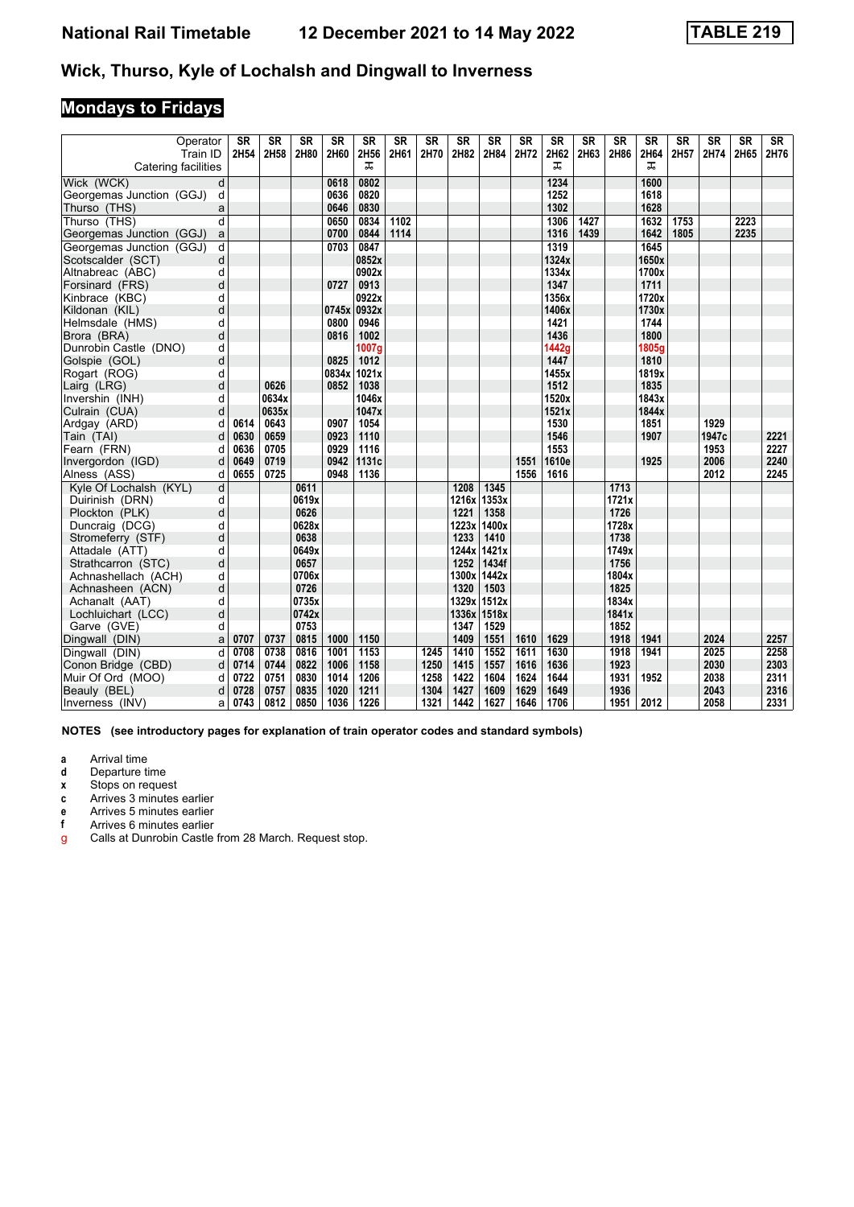#### **Wick, Thurso, Kyle of Lochalsh and Dingwall to Inverness**

# **Mondays to Fridays**

| Operator<br>Train ID     |   | <b>SR</b><br>2H54 | <b>SR</b><br>2H58 | <b>SR</b><br>2H80 | <b>SR</b><br>2H60 | <b>SR</b><br>2H56 | <b>SR</b><br>2H61 | <b>SR</b><br>2H70 | <b>SR</b><br>2H82 | <b>SR</b><br>2H84 | <b>SR</b><br>2H72 | <b>SR</b><br>2H62 | <b>SR</b><br>2H63 | <b>SR</b><br>2H86 | <b>SR</b><br>2H64 | <b>SR</b><br>2H57 | <b>SR</b><br>2H74 | <b>SR</b><br>2H65 | SR<br>2H76 |
|--------------------------|---|-------------------|-------------------|-------------------|-------------------|-------------------|-------------------|-------------------|-------------------|-------------------|-------------------|-------------------|-------------------|-------------------|-------------------|-------------------|-------------------|-------------------|------------|
| Catering facilities      |   |                   |                   |                   |                   | ᠼ                 |                   |                   |                   |                   |                   | ᠼ                 |                   |                   | ᠼ                 |                   |                   |                   |            |
| Wick (WCK)               | d |                   |                   |                   | 0618              | 0802              |                   |                   |                   |                   |                   | 1234              |                   |                   | 1600              |                   |                   |                   |            |
| Georgemas Junction (GGJ) | d |                   |                   |                   | 0636              | 0820              |                   |                   |                   |                   |                   | 1252              |                   |                   | 1618              |                   |                   |                   |            |
| Thurso (THS)             | a |                   |                   |                   | 0646              | 0830              |                   |                   |                   |                   |                   | 1302              |                   |                   | 1628              |                   |                   |                   |            |
| Thurso (THS)             | d |                   |                   |                   | 0650              | 0834              | 1102              |                   |                   |                   |                   | 1306              | 1427              |                   | 1632              | 1753              |                   | 2223              |            |
| Georgemas Junction (GGJ) | a |                   |                   |                   | 0700              | 0844              | 1114              |                   |                   |                   |                   | 1316              | 1439              |                   | 1642              | 1805              |                   | 2235              |            |
| Georgemas Junction (GGJ) | d |                   |                   |                   | 0703              | 0847              |                   |                   |                   |                   |                   | 1319              |                   |                   | 1645              |                   |                   |                   |            |
| Scotscalder (SCT)        | d |                   |                   |                   |                   | 0852x             |                   |                   |                   |                   |                   | 1324x             |                   |                   | 1650x             |                   |                   |                   |            |
| Altnabreac (ABC)         | d |                   |                   |                   |                   | 0902x             |                   |                   |                   |                   |                   | 1334x             |                   |                   | 1700x             |                   |                   |                   |            |
| Forsinard (FRS)          | d |                   |                   |                   | 0727              | 0913              |                   |                   |                   |                   |                   | 1347              |                   |                   | 1711              |                   |                   |                   |            |
| Kinbrace (KBC)           | d |                   |                   |                   |                   | 0922x             |                   |                   |                   |                   |                   | 1356x             |                   |                   | 1720x             |                   |                   |                   |            |
| Kildonan (KIL)           | d |                   |                   |                   | 0745x 0932x       |                   |                   |                   |                   |                   |                   | 1406x             |                   |                   | 1730x             |                   |                   |                   |            |
| Helmsdale (HMS)          | d |                   |                   |                   | 0800              | 0946              |                   |                   |                   |                   |                   | 1421              |                   |                   | 1744              |                   |                   |                   |            |
| Brora (BRA)              | d |                   |                   |                   | 0816              | 1002              |                   |                   |                   |                   |                   | 1436              |                   |                   | 1800              |                   |                   |                   |            |
| Dunrobin Castle (DNO)    | d |                   |                   |                   |                   | 1007a             |                   |                   |                   |                   |                   | 1442a             |                   |                   | 1805g             |                   |                   |                   |            |
| Golspie (GOL)            | d |                   |                   |                   | 0825              | 1012              |                   |                   |                   |                   |                   | 1447              |                   |                   | 1810              |                   |                   |                   |            |
| Rogart (ROG)             | d |                   |                   |                   | 0834x             | 1021x             |                   |                   |                   |                   |                   | 1455x             |                   |                   | 1819x             |                   |                   |                   |            |
| Lairg (LRG)              | d |                   | 0626              |                   | 0852              | 1038              |                   |                   |                   |                   |                   | 1512              |                   |                   | 1835              |                   |                   |                   |            |
| Invershin (INH)          | d |                   | 0634x             |                   |                   | 1046x             |                   |                   |                   |                   |                   | 1520x             |                   |                   | 1843x             |                   |                   |                   |            |
| Culrain (CUA)            | d |                   | 0635x             |                   |                   | 1047x             |                   |                   |                   |                   |                   | 1521x             |                   |                   | 1844x             |                   |                   |                   |            |
| Ardgay (ARD)             | d | 0614              | 0643              |                   | 0907              | 1054              |                   |                   |                   |                   |                   | 1530              |                   |                   | 1851              |                   | 1929              |                   |            |
| Tain (TAI)               | d | 0630              | 0659              |                   | 0923              | 1110              |                   |                   |                   |                   |                   | 1546              |                   |                   | 1907              |                   | 1947c             |                   | 2221       |
| Fearn (FRN)              | d | 0636              | 0705              |                   | 0929              | 1116              |                   |                   |                   |                   |                   | 1553              |                   |                   |                   |                   | 1953              |                   | 2227       |
| Invergordon (IGD)        | d | 0649              | 0719              |                   | 0942              | 1131c             |                   |                   |                   |                   | 1551              | 1610e             |                   |                   | 1925              |                   | 2006              |                   | 2240       |
| Alness (ASS)             | d | 0655              | 0725              |                   | 0948              | 1136              |                   |                   |                   |                   | 1556              | 1616              |                   |                   |                   |                   | 2012              |                   | 2245       |
| Kyle Of Lochalsh (KYL)   | d |                   |                   | 0611              |                   |                   |                   |                   | 1208              | 1345              |                   |                   |                   | 1713              |                   |                   |                   |                   |            |
| Duirinish (DRN)          | d |                   |                   | 0619x             |                   |                   |                   |                   |                   | 1216x 1353x       |                   |                   |                   | 1721x             |                   |                   |                   |                   |            |
| Plockton (PLK)           | d |                   |                   | 0626              |                   |                   |                   |                   | 1221              | 1358              |                   |                   |                   | 1726              |                   |                   |                   |                   |            |
| Duncraig (DCG)           | d |                   |                   | 0628x             |                   |                   |                   |                   |                   | 1223x 1400x       |                   |                   |                   | 1728x             |                   |                   |                   |                   |            |
| Stromeferry (STF)        | d |                   |                   | 0638              |                   |                   |                   |                   | 1233              | 1410              |                   |                   |                   | 1738              |                   |                   |                   |                   |            |
| Attadale (ATT)           | d |                   |                   | 0649x             |                   |                   |                   |                   |                   | 1244x 1421x       |                   |                   |                   | 1749x             |                   |                   |                   |                   |            |
| Strathcarron (STC)       | d |                   |                   | 0657              |                   |                   |                   |                   | 1252              | 1434f             |                   |                   |                   | 1756              |                   |                   |                   |                   |            |
| Achnashellach (ACH)      | d |                   |                   | 0706x             |                   |                   |                   |                   |                   | 1300x 1442x       |                   |                   |                   | 1804x             |                   |                   |                   |                   |            |
| Achnasheen (ACN)         | d |                   |                   | 0726              |                   |                   |                   |                   | 1320              | 1503              |                   |                   |                   | 1825              |                   |                   |                   |                   |            |
| Achanalt (AAT)           | d |                   |                   | 0735x             |                   |                   |                   |                   |                   | 1329x 1512x       |                   |                   |                   | 1834x             |                   |                   |                   |                   |            |
| Lochluichart (LCC)       | d |                   |                   | 0742x             |                   |                   |                   |                   | 1336x             | 1518x             |                   |                   |                   | 1841x             |                   |                   |                   |                   |            |
| Garve (GVE)              | d |                   |                   | 0753              |                   |                   |                   |                   | 1347              | 1529              |                   |                   |                   | 1852              |                   |                   |                   |                   |            |
| Dingwall (DIN)           | a | 0707              | 0737              | 0815              | 1000              | 1150              |                   |                   | 1409              | 1551              | 1610              | 1629              |                   | 1918              | 1941              |                   | 2024              |                   | 2257       |
| Dingwall (DIN)           | d | 0708              | 0738              | 0816              | 1001              | 1153              |                   | 1245              | 1410              | 1552              | 1611              | 1630              |                   | 1918              | 1941              |                   | 2025              |                   | 2258       |
| Conon Bridge (CBD)       | d | 0714              | 0744              | 0822              | 1006              | 1158              |                   | 1250              | 1415              | 1557              | 1616              | 1636              |                   | 1923              |                   |                   | 2030              |                   | 2303       |
| Muir Of Ord (MOO)        | d | 0722              | 0751              | 0830              | 1014              | 1206              |                   | 1258              | 1422              | 1604              | 1624              | 1644              |                   | 1931              | 1952              |                   | 2038              |                   | 2311       |
| Beauly (BEL)             | d | 0728              | 0757              | 0835              | 1020              | 1211              |                   | 1304              | 1427              | 1609              | 1629              | 1649              |                   | 1936              |                   |                   | 2043              |                   | 2316       |
| Inverness (INV)          | a | 0743              | 0812              | 0850              | 1036              | 1226              |                   | 1321              | 1442              | 1627              | 1646              | 1706              |                   | 1951              | 2012              |                   | 2058              |                   | 2331       |

**NOTES (see introductory pages for explanation of train operator codes and standard symbols)**

**a** Arrival time<br>**d** Departure ti

**d** Departure time

**x** Stops on request

**c** Arrives 3 minutes earlier<br>**e** Arrives 5 minutes earlier

**e** Arrives 5 minutes earlier<br>**f** Arrives 6 minutes earlier

**Arrives 6 minutes earlier** 

g Calls at Dunrobin Castle from 28 March. Request stop.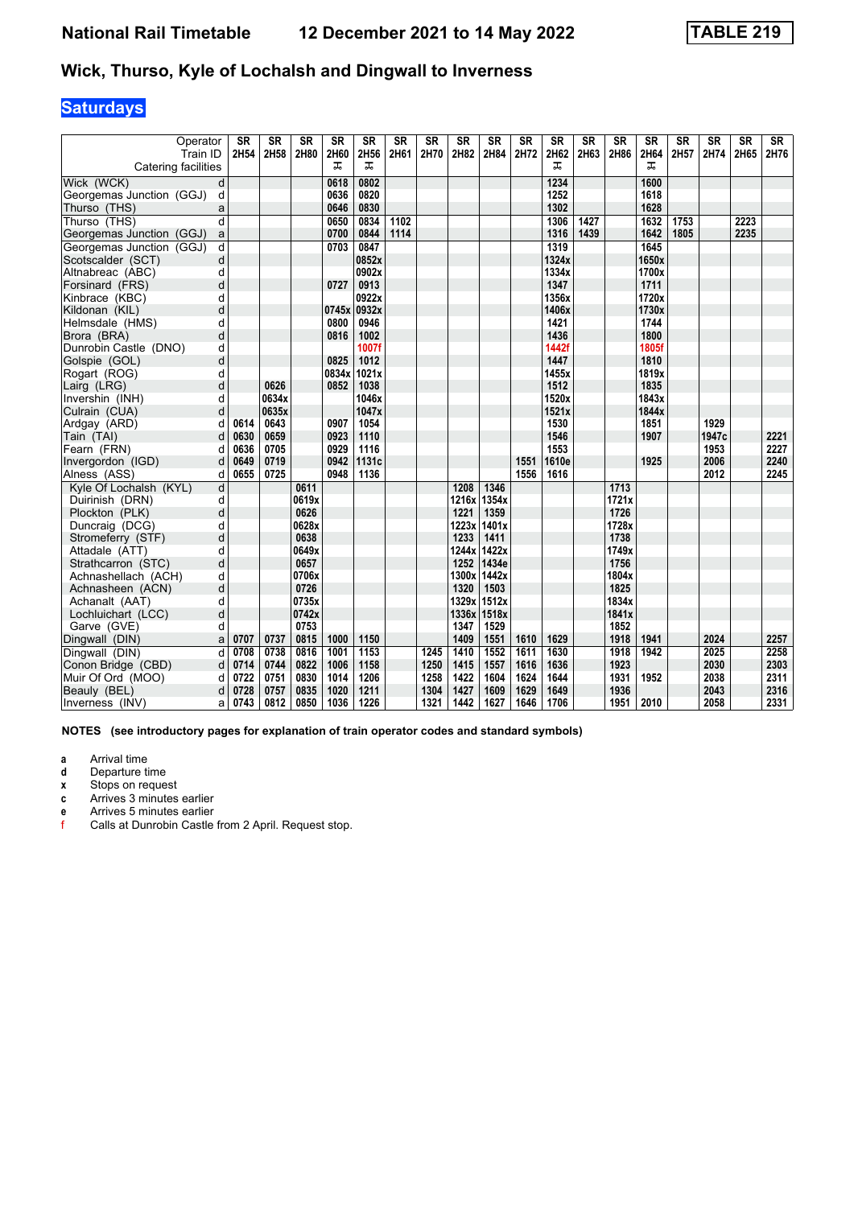#### **Wick, Thurso, Kyle of Lochalsh and Dingwall to Inverness**

# **Saturdays**

| Operator<br>Train ID     |                | <b>SR</b><br>2H54 | <b>SR</b><br>2H58 | <b>SR</b><br>2H80 | <b>SR</b><br>2H60 | <b>SR</b><br>2H56 | <b>SR</b><br>2H61 | <b>SR</b><br>2H70 | <b>SR</b><br>2H82 | <b>SR</b><br>2H84 | <b>SR</b><br>2H72 | <b>SR</b><br>2H62 | <b>SR</b><br>2H63 | <b>SR</b><br>2H86 | <b>SR</b><br>2H64 | <b>SR</b><br>2H57 | <b>SR</b><br>2H74 | <b>SR</b><br>2H65 | <b>SR</b><br>2H76 |
|--------------------------|----------------|-------------------|-------------------|-------------------|-------------------|-------------------|-------------------|-------------------|-------------------|-------------------|-------------------|-------------------|-------------------|-------------------|-------------------|-------------------|-------------------|-------------------|-------------------|
| Catering facilities      |                |                   |                   |                   | ᠼ                 | ᠼ                 |                   |                   |                   |                   |                   | ᅚ                 |                   |                   | ᠼ                 |                   |                   |                   |                   |
| Wick (WCK)               | d              |                   |                   |                   | 0618              | 0802              |                   |                   |                   |                   |                   | 1234              |                   |                   | 1600              |                   |                   |                   |                   |
| Georgemas Junction (GGJ) | d              |                   |                   |                   | 0636              | 0820              |                   |                   |                   |                   |                   | 1252              |                   |                   | 1618              |                   |                   |                   |                   |
| Thurso (THS)             | a              |                   |                   |                   | 0646              | 0830              |                   |                   |                   |                   |                   | 1302              |                   |                   | 1628              |                   |                   |                   |                   |
| Thurso (THS)             | d              |                   |                   |                   | 0650              | 0834              | 1102              |                   |                   |                   |                   | 1306              | 1427              |                   | 1632              | 1753              |                   | 2223              |                   |
| Georgemas Junction (GGJ) | a              |                   |                   |                   | 0700              | 0844              | 1114              |                   |                   |                   |                   | 1316              | 1439              |                   | 1642              | 1805              |                   | 2235              |                   |
| Georgemas Junction (GGJ) | d              |                   |                   |                   | 0703              | 0847              |                   |                   |                   |                   |                   | 1319              |                   |                   | 1645              |                   |                   |                   |                   |
| Scotscalder (SCT)        | d              |                   |                   |                   |                   | 0852x             |                   |                   |                   |                   |                   | 1324x             |                   |                   | 1650x             |                   |                   |                   |                   |
| Altnabreac (ABC)         | d              |                   |                   |                   |                   | 0902x             |                   |                   |                   |                   |                   | 1334x             |                   |                   | 1700x             |                   |                   |                   |                   |
| Forsinard (FRS)          | d              |                   |                   |                   | 0727              | 0913              |                   |                   |                   |                   |                   | 1347              |                   |                   | 1711              |                   |                   |                   |                   |
| Kinbrace (KBC)           | d              |                   |                   |                   |                   | 0922x             |                   |                   |                   |                   |                   | 1356x             |                   |                   | 1720x             |                   |                   |                   |                   |
| Kildonan (KIL)           | d              |                   |                   |                   | 0745x 0932x       |                   |                   |                   |                   |                   |                   | 1406x             |                   |                   | 1730x             |                   |                   |                   |                   |
| Helmsdale (HMS)          | d              |                   |                   |                   | 0800              | 0946              |                   |                   |                   |                   |                   | 1421              |                   |                   | 1744              |                   |                   |                   |                   |
| Brora (BRA)              | d              |                   |                   |                   | 0816              | 1002              |                   |                   |                   |                   |                   | 1436              |                   |                   | 1800              |                   |                   |                   |                   |
| Dunrobin Castle (DNO)    | d              |                   |                   |                   |                   | 1007f             |                   |                   |                   |                   |                   | 1442f             |                   |                   | 1805f             |                   |                   |                   |                   |
| Golspie (GOL)            | d              |                   |                   |                   | 0825              | 1012              |                   |                   |                   |                   |                   | 1447              |                   |                   | 1810              |                   |                   |                   |                   |
| Rogart (ROG)             | d              |                   |                   |                   | 0834x             | 1021x             |                   |                   |                   |                   |                   | 1455x             |                   |                   | 1819x             |                   |                   |                   |                   |
| Lairg (LRG)              | d              |                   | 0626              |                   | 0852              | 1038              |                   |                   |                   |                   |                   | 1512              |                   |                   | 1835              |                   |                   |                   |                   |
| Invershin (INH)          | d              |                   | 0634x             |                   |                   | 1046x             |                   |                   |                   |                   |                   | 1520x             |                   |                   | 1843x             |                   |                   |                   |                   |
| Culrain (CUA)            | d              |                   | 0635x             |                   |                   | 1047x             |                   |                   |                   |                   |                   | 1521x             |                   |                   | 1844x             |                   |                   |                   |                   |
| Ardgay (ARD)             | d              | 0614              | 0643              |                   | 0907              | 1054              |                   |                   |                   |                   |                   | 1530              |                   |                   | 1851              |                   | 1929              |                   |                   |
| Tain (TAI)               | d              | 0630              | 0659              |                   | 0923              | 1110              |                   |                   |                   |                   |                   | 1546              |                   |                   | 1907              |                   | 1947c             |                   | 2221              |
| Fearn (FRN)              | d              | 0636              | 0705              |                   | 0929              | 1116              |                   |                   |                   |                   |                   | 1553              |                   |                   |                   |                   | 1953              |                   | 2227              |
| Invergordon (IGD)        | d              | 0649              | 0719              |                   | 0942              | 1131c             |                   |                   |                   |                   | 1551              | 1610e             |                   |                   | 1925              |                   | 2006              |                   | 2240              |
| Alness (ASS)             | d              | 0655              | 0725              |                   | 0948              | 1136              |                   |                   |                   |                   | 1556              | 1616              |                   |                   |                   |                   | 2012              |                   | 2245              |
| Kyle Of Lochalsh (KYL)   | $\overline{d}$ |                   |                   | 0611              |                   |                   |                   |                   | 1208              | 1346              |                   |                   |                   | 1713              |                   |                   |                   |                   |                   |
| Duirinish (DRN)          | d              |                   |                   | 0619x             |                   |                   |                   |                   | 1216x             | 1354x             |                   |                   |                   | 1721x             |                   |                   |                   |                   |                   |
| Plockton (PLK)           | d              |                   |                   | 0626              |                   |                   |                   |                   | 1221              | 1359              |                   |                   |                   | 1726              |                   |                   |                   |                   |                   |
| Duncraig (DCG)           | d              |                   |                   | 0628x             |                   |                   |                   |                   | 1223x             | 1401x             |                   |                   |                   | 1728x             |                   |                   |                   |                   |                   |
| Stromeferry (STF)        | d              |                   |                   | 0638              |                   |                   |                   |                   | 1233              | 1411              |                   |                   |                   | 1738              |                   |                   |                   |                   |                   |
| Attadale (ATT)           | d              |                   |                   | 0649x             |                   |                   |                   |                   | 1244x             | 1422x             |                   |                   |                   | 1749x             |                   |                   |                   |                   |                   |
| Strathcarron (STC)       | d              |                   |                   | 0657              |                   |                   |                   |                   | 1252              | 1434e             |                   |                   |                   | 1756              |                   |                   |                   |                   |                   |
| Achnashellach (ACH)      | d              |                   |                   | 0706x             |                   |                   |                   |                   | 1300x             | 1442x             |                   |                   |                   | 1804x             |                   |                   |                   |                   |                   |
| Achnasheen (ACN)         | d              |                   |                   | 0726              |                   |                   |                   |                   | 1320              | 1503              |                   |                   |                   | 1825              |                   |                   |                   |                   |                   |
| Achanalt (AAT)           | d              |                   |                   | 0735x             |                   |                   |                   |                   |                   | 1329x 1512x       |                   |                   |                   | 1834x             |                   |                   |                   |                   |                   |
| Lochluichart (LCC)       | d              |                   |                   | 0742x             |                   |                   |                   |                   |                   | 1336x 1518x       |                   |                   |                   | 1841x             |                   |                   |                   |                   |                   |
| Garve (GVE)              | d              |                   |                   | 0753              |                   |                   |                   |                   | 1347              | 1529              |                   |                   |                   | 1852              |                   |                   |                   |                   |                   |
| Dingwall (DIN)           | a              | 0707              | 0737              | 0815              | 1000              | 1150              |                   |                   | 1409              | 1551              | 1610              | 1629              |                   | 1918              | 1941              |                   | 2024              |                   | 2257              |
| Dingwall (DIN)           | d              | 0708              | 0738              | 0816              | 1001              | 1153              |                   | 1245              | 1410              | 1552              | 1611              | 1630              |                   | 1918              | 1942              |                   | 2025              |                   | 2258              |
| Conon Bridge (CBD)       | d              | 0714              | 0744              | 0822              | 1006              | 1158              |                   | 1250              | 1415              | 1557              | 1616              | 1636              |                   | 1923              |                   |                   | 2030              |                   | 2303              |
| Muir Of Ord (MOO)        | d              | 0722              | 0751              | 0830              | 1014              | 1206              |                   | 1258              | 1422              | 1604              | 1624              | 1644              |                   | 1931              | 1952              |                   | 2038              |                   | 2311              |
| Beauly (BEL)             | d              | 0728              | 0757              | 0835              | 1020              | 1211              |                   | 1304              | 1427              | 1609              | 1629              | 1649              |                   | 1936              |                   |                   | 2043              |                   | 2316              |
| Inverness (INV)          | a              | 0743              | 0812              | 0850              | 1036              | 1226              |                   | 1321              | 1442              | 1627              | 1646              | 1706              |                   | 1951              | 2010              |                   | 2058              |                   | 2331              |

**NOTES (see introductory pages for explanation of train operator codes and standard symbols)**

**a** Arrival time<br>**d** Departure ti

**d** Departure time

**x** Stops on request

**c** Arrives 3 minutes earlier<br>**e** Arrives 5 minutes earlier **e** Arrives 5 minutes earlier<br>**f** Calls at Dunrobin Castle

Calls at Dunrobin Castle from 2 April. Request stop.